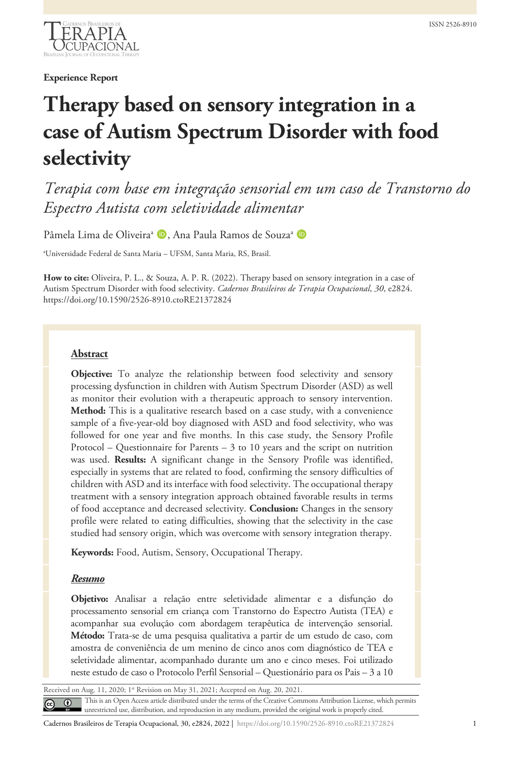

**Experience Report**

# **Therapy based on sensory integration in a case of Autism Spectrum Disorder with food selectivity**

*Terapia com base em integração sensorial em um caso de Transtorno do Espectro Autista com seletividade alimentar*

Pâmela Lima de Oliveira<sup>a</sup> D, Ana Paula Ramos de Souza<sup>a</sup> D

a Universidade Federal de Santa Maria – UFSM, Santa Maria, RS, Brasil.

**How to cite:** Oliveira, P. L., & Souza, A. P. R. (2022). Therapy based on sensory integration in a case of Autism Spectrum Disorder with food selectivity. *Cadernos Brasileiros de Terapia Ocupacional*, *30*, e2824. https://doi.org/10.1590/2526-8910.ctoRE21372824

## **Abstract**

**Objective:** To analyze the relationship between food selectivity and sensory processing dysfunction in children with Autism Spectrum Disorder (ASD) as well as monitor their evolution with a therapeutic approach to sensory intervention. **Method:** This is a qualitative research based on a case study, with a convenience sample of a five-year-old boy diagnosed with ASD and food selectivity, who was followed for one year and five months. In this case study, the Sensory Profile Protocol – Questionnaire for Parents –  $3$  to 10 years and the script on nutrition was used. **Results:** A significant change in the Sensory Profile was identified, especially in systems that are related to food, confirming the sensory difficulties of children with ASD and its interface with food selectivity. The occupational therapy treatment with a sensory integration approach obtained favorable results in terms of food acceptance and decreased selectivity. **Conclusion:** Changes in the sensory profile were related to eating difficulties, showing that the selectivity in the case studied had sensory origin, which was overcome with sensory integration therapy.

**Keywords:** Food, Autism, Sensory, Occupational Therapy.

## *Resumo*

**Objetivo:** Analisar a relação entre seletividade alimentar e a disfunção do processamento sensorial em criança com Transtorno do Espectro Autista (TEA) e acompanhar sua evolução com abordagem terapêutica de intervenção sensorial. **Método:** Trata-se de uma pesquisa qualitativa a partir de um estudo de caso, com amostra de conveniência de um menino de cinco anos com diagnóstico de TEA e seletividade alimentar, acompanhado durante um ano e cinco meses. Foi utilizado neste estudo de caso o Protocolo Perfil Sensorial – Questionário para os Pais – 3 a 10

Received on Aug. 11, 2020; 1st Revision on May 31, 2021; Accepted on Aug. 20, 2021 This is an Open Access article distributed under the terms of the Creative Commons Attribution License, which permits  $\odot$ unrestricted use, distribution, and reproduction in any medium, provided the original work is properly cited.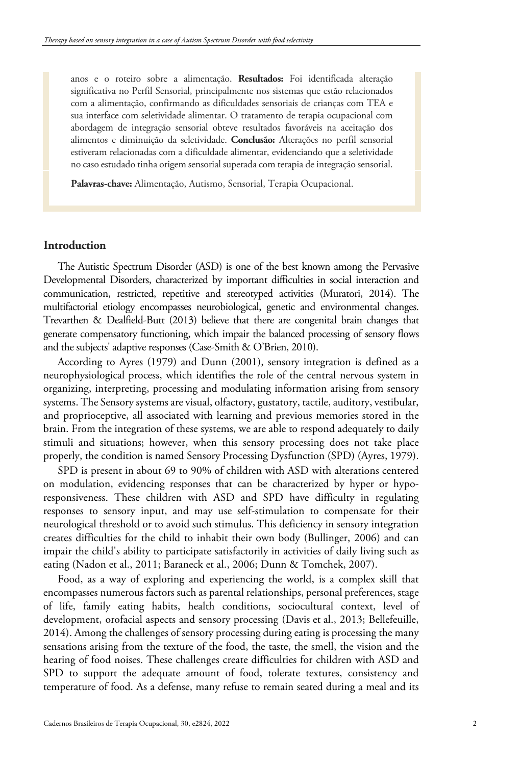anos e o roteiro sobre a alimentação. **Resultados:** Foi identificada alteração significativa no Perfil Sensorial, principalmente nos sistemas que estão relacionados com a alimentação, confirmando as dificuldades sensoriais de crianças com TEA e sua interface com seletividade alimentar. O tratamento de terapia ocupacional com abordagem de integração sensorial obteve resultados favoráveis na aceitação dos alimentos e diminuição da seletividade. **Conclusão:** Alterações no perfil sensorial estiveram relacionadas com a dificuldade alimentar, evidenciando que a seletividade no caso estudado tinha origem sensorial superada com terapia de integração sensorial.

**Palavras-chave:** Alimentação, Autismo, Sensorial, Terapia Ocupacional.

# **Introduction**

The Autistic Spectrum Disorder (ASD) is one of the best known among the Pervasive Developmental Disorders, characterized by important difficulties in social interaction and communication, restricted, repetitive and stereotyped activities (Muratori, 2014). The multifactorial etiology encompasses neurobiological, genetic and environmental changes. Trevarthen & Dealfield-Butt (2013) believe that there are congenital brain changes that generate compensatory functioning, which impair the balanced processing of sensory flows and the subjects' adaptive responses (Case-Smith & O'Brien, 2010).

According to Ayres (1979) and Dunn (2001), sensory integration is defined as a neurophysiological process, which identifies the role of the central nervous system in organizing, interpreting, processing and modulating information arising from sensory systems. The Sensory systems are visual, olfactory, gustatory, tactile, auditory, vestibular, and proprioceptive, all associated with learning and previous memories stored in the brain. From the integration of these systems, we are able to respond adequately to daily stimuli and situations; however, when this sensory processing does not take place properly, the condition is named Sensory Processing Dysfunction (SPD) (Ayres, 1979).

SPD is present in about 69 to 90% of children with ASD with alterations centered on modulation, evidencing responses that can be characterized by hyper or hyporesponsiveness. These children with ASD and SPD have difficulty in regulating responses to sensory input, and may use self-stimulation to compensate for their neurological threshold or to avoid such stimulus. This deficiency in sensory integration creates difficulties for the child to inhabit their own body (Bullinger, 2006) and can impair the child's ability to participate satisfactorily in activities of daily living such as eating (Nadon et al., 2011; Baraneck et al., 2006; Dunn & Tomchek, 2007).

Food, as a way of exploring and experiencing the world, is a complex skill that encompasses numerous factors such as parental relationships, personal preferences, stage of life, family eating habits, health conditions, sociocultural context, level of development, orofacial aspects and sensory processing (Davis et al., 2013; Bellefeuille, 2014). Among the challenges of sensory processing during eating is processing the many sensations arising from the texture of the food, the taste, the smell, the vision and the hearing of food noises. These challenges create difficulties for children with ASD and SPD to support the adequate amount of food, tolerate textures, consistency and temperature of food. As a defense, many refuse to remain seated during a meal and its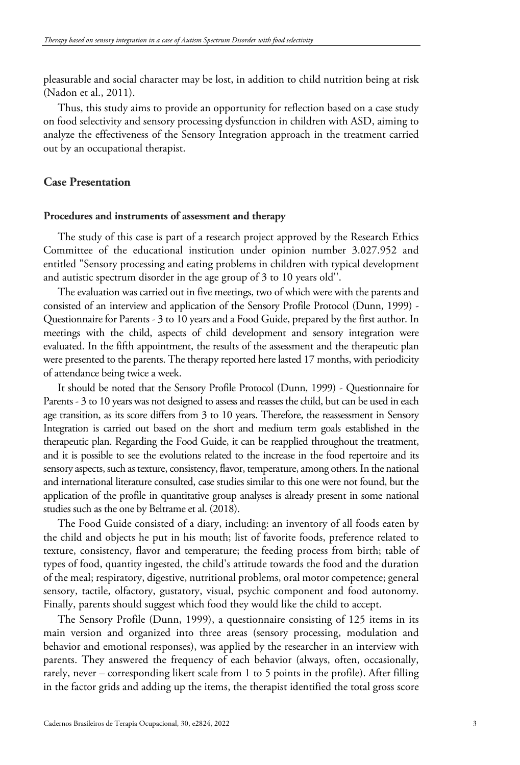pleasurable and social character may be lost, in addition to child nutrition being at risk (Nadon et al., 2011).

Thus, this study aims to provide an opportunity for reflection based on a case study on food selectivity and sensory processing dysfunction in children with ASD, aiming to analyze the effectiveness of the Sensory Integration approach in the treatment carried out by an occupational therapist.

# **Case Presentation**

#### **Procedures and instruments of assessment and therapy**

The study of this case is part of a research project approved by the Research Ethics Committee of the educational institution under opinion number 3.027.952 and entitled "Sensory processing and eating problems in children with typical development and autistic spectrum disorder in the age group of 3 to 10 years old''.

The evaluation was carried out in five meetings, two of which were with the parents and consisted of an interview and application of the Sensory Profile Protocol (Dunn, 1999) - Questionnaire for Parents - 3 to 10 years and a Food Guide, prepared by the first author. In meetings with the child, aspects of child development and sensory integration were evaluated. In the fifth appointment, the results of the assessment and the therapeutic plan were presented to the parents. The therapy reported here lasted 17 months, with periodicity of attendance being twice a week.

It should be noted that the Sensory Profile Protocol (Dunn, 1999) - Questionnaire for Parents - 3 to 10 years was not designed to assess and reasses the child, but can be used in each age transition, as its score differs from 3 to 10 years. Therefore, the reassessment in Sensory Integration is carried out based on the short and medium term goals established in the therapeutic plan. Regarding the Food Guide, it can be reapplied throughout the treatment, and it is possible to see the evolutions related to the increase in the food repertoire and its sensory aspects, such as texture, consistency, flavor, temperature, among others. In the national and international literature consulted, case studies similar to this one were not found, but the application of the profile in quantitative group analyses is already present in some national studies such as the one by Beltrame et al. (2018).

The Food Guide consisted of a diary, including: an inventory of all foods eaten by the child and objects he put in his mouth; list of favorite foods, preference related to texture, consistency, flavor and temperature; the feeding process from birth; table of types of food, quantity ingested, the child's attitude towards the food and the duration of the meal; respiratory, digestive, nutritional problems, oral motor competence; general sensory, tactile, olfactory, gustatory, visual, psychic component and food autonomy. Finally, parents should suggest which food they would like the child to accept.

The Sensory Profile (Dunn, 1999), a questionnaire consisting of 125 items in its main version and organized into three areas (sensory processing, modulation and behavior and emotional responses), was applied by the researcher in an interview with parents. They answered the frequency of each behavior (always, often, occasionally, rarely, never – corresponding likert scale from 1 to 5 points in the profile). After filling in the factor grids and adding up the items, the therapist identified the total gross score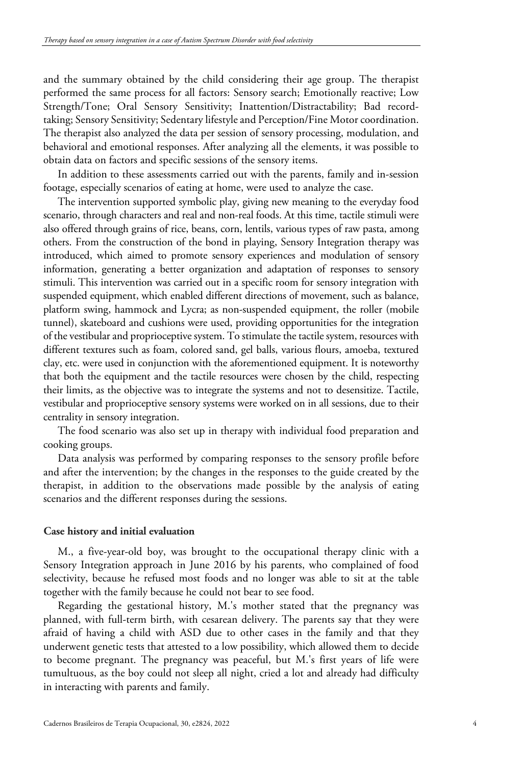and the summary obtained by the child considering their age group. The therapist performed the same process for all factors: Sensory search; Emotionally reactive; Low Strength/Tone; Oral Sensory Sensitivity; Inattention/Distractability; Bad recordtaking; Sensory Sensitivity; Sedentary lifestyle and Perception/Fine Motor coordination. The therapist also analyzed the data per session of sensory processing, modulation, and behavioral and emotional responses. After analyzing all the elements, it was possible to obtain data on factors and specific sessions of the sensory items.

In addition to these assessments carried out with the parents, family and in-session footage, especially scenarios of eating at home, were used to analyze the case.

The intervention supported symbolic play, giving new meaning to the everyday food scenario, through characters and real and non-real foods. At this time, tactile stimuli were also offered through grains of rice, beans, corn, lentils, various types of raw pasta, among others. From the construction of the bond in playing, Sensory Integration therapy was introduced, which aimed to promote sensory experiences and modulation of sensory information, generating a better organization and adaptation of responses to sensory stimuli. This intervention was carried out in a specific room for sensory integration with suspended equipment, which enabled different directions of movement, such as balance, platform swing, hammock and Lycra; as non-suspended equipment, the roller (mobile tunnel), skateboard and cushions were used, providing opportunities for the integration of the vestibular and proprioceptive system. To stimulate the tactile system, resources with different textures such as foam, colored sand, gel balls, various flours, amoeba, textured clay, etc. were used in conjunction with the aforementioned equipment. It is noteworthy that both the equipment and the tactile resources were chosen by the child, respecting their limits, as the objective was to integrate the systems and not to desensitize. Tactile, vestibular and proprioceptive sensory systems were worked on in all sessions, due to their centrality in sensory integration.

The food scenario was also set up in therapy with individual food preparation and cooking groups.

Data analysis was performed by comparing responses to the sensory profile before and after the intervention; by the changes in the responses to the guide created by the therapist, in addition to the observations made possible by the analysis of eating scenarios and the different responses during the sessions.

#### **Case history and initial evaluation**

M., a five-year-old boy, was brought to the occupational therapy clinic with a Sensory Integration approach in June 2016 by his parents, who complained of food selectivity, because he refused most foods and no longer was able to sit at the table together with the family because he could not bear to see food.

Regarding the gestational history, M.'s mother stated that the pregnancy was planned, with full-term birth, with cesarean delivery. The parents say that they were afraid of having a child with ASD due to other cases in the family and that they underwent genetic tests that attested to a low possibility, which allowed them to decide to become pregnant. The pregnancy was peaceful, but M.'s first years of life were tumultuous, as the boy could not sleep all night, cried a lot and already had difficulty in interacting with parents and family.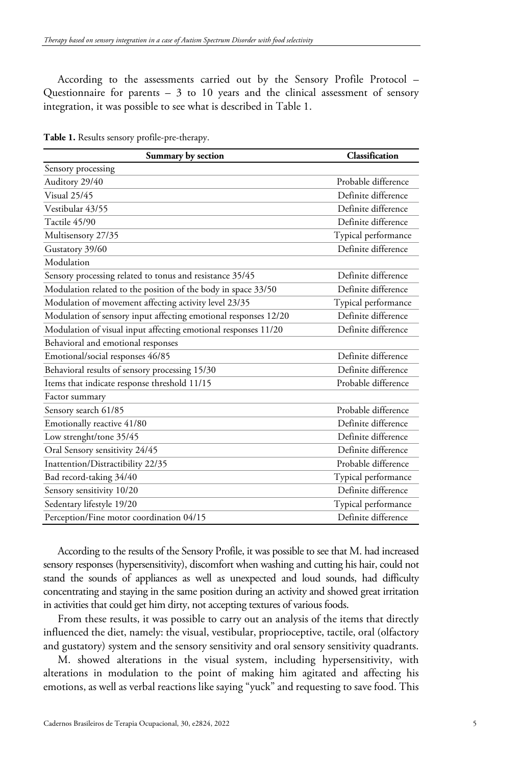According to the assessments carried out by the Sensory Profile Protocol – Questionnaire for parents – 3 to 10 years and the clinical assessment of sensory integration, it was possible to see what is described in Table 1.

| Summary by section                                              | Classification      |
|-----------------------------------------------------------------|---------------------|
| Sensory processing                                              |                     |
| Auditory 29/40                                                  | Probable difference |
| Visual 25/45                                                    | Definite difference |
| Vestibular 43/55                                                | Definite difference |
| Tactile 45/90                                                   | Definite difference |
| Multisensory 27/35                                              | Typical performance |
| Gustatory 39/60                                                 | Definite difference |
| Modulation                                                      |                     |
| Sensory processing related to tonus and resistance 35/45        | Definite difference |
| Modulation related to the position of the body in space 33/50   | Definite difference |
| Modulation of movement affecting activity level 23/35           | Typical performance |
| Modulation of sensory input affecting emotional responses 12/20 | Definite difference |
| Modulation of visual input affecting emotional responses 11/20  | Definite difference |
| Behavioral and emotional responses                              |                     |
| Emotional/social responses 46/85                                | Definite difference |
| Behavioral results of sensory processing 15/30                  | Definite difference |
| Items that indicate response threshold 11/15                    | Probable difference |
| Factor summary                                                  |                     |
| Sensory search 61/85                                            | Probable difference |
| Emotionally reactive 41/80                                      | Definite difference |
| Low strenght/tone 35/45                                         | Definite difference |
| Oral Sensory sensitivity 24/45                                  | Definite difference |
| Inattention/Distractibility 22/35                               | Probable difference |
| Bad record-taking 34/40                                         | Typical performance |
| Sensory sensitivity 10/20                                       | Definite difference |
| Sedentary lifestyle 19/20                                       | Typical performance |
| Perception/Fine motor coordination 04/15                        | Definite difference |

**Table 1.** Results sensory profile-pre-therapy.

According to the results of the Sensory Profile, it was possible to see that M. had increased sensory responses (hypersensitivity), discomfort when washing and cutting his hair, could not stand the sounds of appliances as well as unexpected and loud sounds, had difficulty concentrating and staying in the same position during an activity and showed great irritation in activities that could get him dirty, not accepting textures of various foods.

From these results, it was possible to carry out an analysis of the items that directly influenced the diet, namely: the visual, vestibular, proprioceptive, tactile, oral (olfactory and gustatory) system and the sensory sensitivity and oral sensory sensitivity quadrants.

M. showed alterations in the visual system, including hypersensitivity, with alterations in modulation to the point of making him agitated and affecting his emotions, as well as verbal reactions like saying "yuck" and requesting to save food. This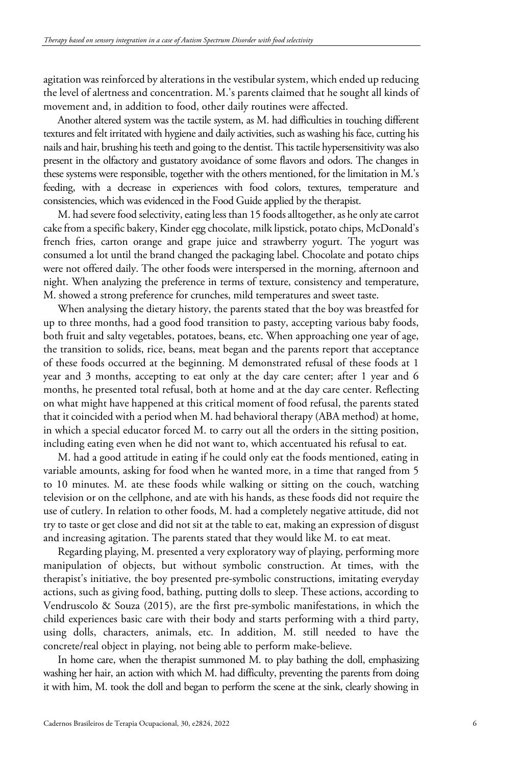agitation was reinforced by alterations in the vestibular system, which ended up reducing the level of alertness and concentration. M.'s parents claimed that he sought all kinds of movement and, in addition to food, other daily routines were affected.

Another altered system was the tactile system, as M. had difficulties in touching different textures and felt irritated with hygiene and daily activities, such as washing his face, cutting his nails and hair, brushing his teeth and going to the dentist. This tactile hypersensitivity was also present in the olfactory and gustatory avoidance of some flavors and odors. The changes in these systems were responsible, together with the others mentioned, for the limitation in M.'s feeding, with a decrease in experiences with food colors, textures, temperature and consistencies, which was evidenced in the Food Guide applied by the therapist.

M. had severe food selectivity, eating less than 15 foods alltogether, as he only ate carrot cake from a specific bakery, Kinder egg chocolate, milk lipstick, potato chips, McDonald's french fries, carton orange and grape juice and strawberry yogurt. The yogurt was consumed a lot until the brand changed the packaging label. Chocolate and potato chips were not offered daily. The other foods were interspersed in the morning, afternoon and night. When analyzing the preference in terms of texture, consistency and temperature, M. showed a strong preference for crunches, mild temperatures and sweet taste.

When analysing the dietary history, the parents stated that the boy was breastfed for up to three months, had a good food transition to pasty, accepting various baby foods, both fruit and salty vegetables, potatoes, beans, etc. When approaching one year of age, the transition to solids, rice, beans, meat began and the parents report that acceptance of these foods occurred at the beginning. M demonstrated refusal of these foods at 1 year and 3 months, accepting to eat only at the day care center; after 1 year and 6 months, he presented total refusal, both at home and at the day care center. Reflecting on what might have happened at this critical moment of food refusal, the parents stated that it coincided with a period when M. had behavioral therapy (ABA method) at home, in which a special educator forced M. to carry out all the orders in the sitting position, including eating even when he did not want to, which accentuated his refusal to eat.

M. had a good attitude in eating if he could only eat the foods mentioned, eating in variable amounts, asking for food when he wanted more, in a time that ranged from 5 to 10 minutes. M. ate these foods while walking or sitting on the couch, watching television or on the cellphone, and ate with his hands, as these foods did not require the use of cutlery. In relation to other foods, M. had a completely negative attitude, did not try to taste or get close and did not sit at the table to eat, making an expression of disgust and increasing agitation. The parents stated that they would like M. to eat meat.

Regarding playing, M. presented a very exploratory way of playing, performing more manipulation of objects, but without symbolic construction. At times, with the therapist's initiative, the boy presented pre-symbolic constructions, imitating everyday actions, such as giving food, bathing, putting dolls to sleep. These actions, according to Vendruscolo & Souza (2015), are the first pre-symbolic manifestations, in which the child experiences basic care with their body and starts performing with a third party, using dolls, characters, animals, etc. In addition, M. still needed to have the concrete/real object in playing, not being able to perform make-believe.

In home care, when the therapist summoned M. to play bathing the doll, emphasizing washing her hair, an action with which M. had difficulty, preventing the parents from doing it with him, M. took the doll and began to perform the scene at the sink, clearly showing in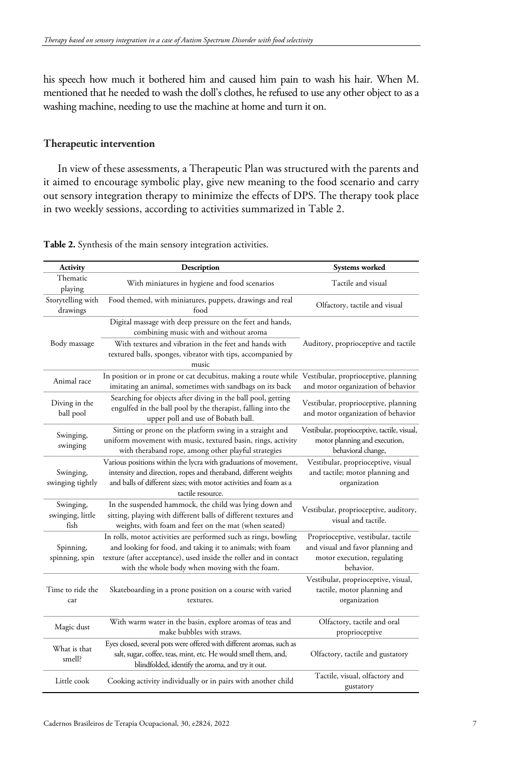his speech how much it bothered him and caused him pain to wash his hair. When M. mentioned that he needed to wash the doll's clothes, he refused to use any other object to as a washing machine, needing to use the machine at home and turn it on.

## **Therapeutic intervention**

In view of these assessments, a Therapeutic Plan was structured with the parents and it aimed to encourage symbolic play, give new meaning to the food scenario and carry out sensory integration therapy to minimize the effects of DPS. The therapy took place in two weekly sessions, according to activities summarized in Table 2.

| Activity                              | Description                                                                                                                                                                                                                                         | Systems worked                                                                                                       |
|---------------------------------------|-----------------------------------------------------------------------------------------------------------------------------------------------------------------------------------------------------------------------------------------------------|----------------------------------------------------------------------------------------------------------------------|
| Thematic<br>playing                   | With miniatures in hygiene and food scenarios                                                                                                                                                                                                       | Tactile and visual                                                                                                   |
| Storytelling with<br>drawings         | Food themed, with miniatures, puppets, drawings and real<br>food                                                                                                                                                                                    | Olfactory, tactile and visual                                                                                        |
| Body massage                          | Digital massage with deep pressure on the feet and hands,<br>combining music with and without aroma                                                                                                                                                 |                                                                                                                      |
|                                       | With textures and vibration in the feet and hands with<br>textured balls, sponges, vibrator with tips, accompanied by<br>music                                                                                                                      | Auditory, proprioceptive and tactile                                                                                 |
| Animal race                           | In position or in prone or cat decubitus, making a route while<br>imitating an animal, sometimes with sandbags on its back                                                                                                                          | Vestibular, proprioceptive, planning<br>and motor organization of behavior                                           |
| Diving in the<br>ball pool            | Searching for objects after diving in the ball pool, getting<br>engulfed in the ball pool by the therapist, falling into the<br>upper poll and use of Bobath ball.                                                                                  | Vestibular, proprioceptive, planning<br>and motor organization of behavior                                           |
| Swinging,<br>swinging                 | Sitting or prone on the platform swing in a straight and<br>uniform movement with music, textured basin, rings, activity<br>with theraband rope, among other playful strategies                                                                     | Vestibular, proprioceptive, tactile, visual,<br>motor planning and execution,<br>behavioral change,                  |
| Swinging,<br>swinging tightly         | Various positions within the lycra with graduations of movement,<br>intensity and direction, ropes and theraband, different weights<br>and balls of different sizes; with motor activities and foam as a<br>tactile resource.                       | Vestibular, proprioceptive, visual<br>and tactile; motor planning and<br>organization                                |
| Swinging,<br>swinging, little<br>fish | In the suspended hammock, the child was lying down and<br>sitting, playing with different balls of different textures and<br>weights, with foam and feet on the mat (when seated)                                                                   | Vestibular, proprioceptive, auditory,<br>visual and tactile.                                                         |
| Spinning,<br>spinning, spin           | In rolls, motor activities are performed such as rings, bowling<br>and looking for food, and taking it to animals; with foam<br>texture (after acceptance), used inside the roller and in contact<br>with the whole body when moving with the foam. | Proprioceptive, vestibular, tactile<br>and visual and favor planning and<br>motor execution, regulating<br>behavior. |
| Time to ride the<br>car               | Skateboarding in a prone position on a course with varied<br>textures.                                                                                                                                                                              | Vestibular, proprioceptive, visual,<br>tactile, motor planning and<br>organization                                   |
| Magic dust                            | With warm water in the basin, explore aromas of teas and<br>make bubbles with straws.                                                                                                                                                               | Olfactory, tactile and oral<br>proprioceptive                                                                        |
| What is that<br>smell?                | Eyes closed, several pots were offered with different aromas, such as<br>salt, sugar, coffee, teas, mint, etc. He would smell them, and,<br>blindfolded, identify the aroma, and try it out.                                                        | Olfactory, tactile and gustatory                                                                                     |
| Little cook                           | Cooking activity individually or in pairs with another child                                                                                                                                                                                        | Tactile, visual, olfactory and<br>gustatory                                                                          |

**Table 2.** Synthesis of the main sensory integration activities.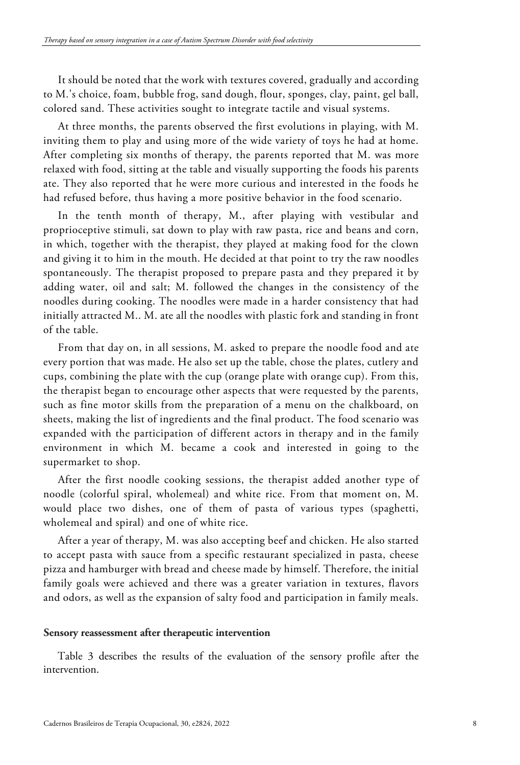It should be noted that the work with textures covered, gradually and according to M.'s choice, foam, bubble frog, sand dough, flour, sponges, clay, paint, gel ball, colored sand. These activities sought to integrate tactile and visual systems.

At three months, the parents observed the first evolutions in playing, with M. inviting them to play and using more of the wide variety of toys he had at home. After completing six months of therapy, the parents reported that M. was more relaxed with food, sitting at the table and visually supporting the foods his parents ate. They also reported that he were more curious and interested in the foods he had refused before, thus having a more positive behavior in the food scenario.

In the tenth month of therapy, M., after playing with vestibular and proprioceptive stimuli, sat down to play with raw pasta, rice and beans and corn, in which, together with the therapist, they played at making food for the clown and giving it to him in the mouth. He decided at that point to try the raw noodles spontaneously. The therapist proposed to prepare pasta and they prepared it by adding water, oil and salt; M. followed the changes in the consistency of the noodles during cooking. The noodles were made in a harder consistency that had initially attracted M.. M. ate all the noodles with plastic fork and standing in front of the table.

From that day on, in all sessions, M. asked to prepare the noodle food and ate every portion that was made. He also set up the table, chose the plates, cutlery and cups, combining the plate with the cup (orange plate with orange cup). From this, the therapist began to encourage other aspects that were requested by the parents, such as fine motor skills from the preparation of a menu on the chalkboard, on sheets, making the list of ingredients and the final product. The food scenario was expanded with the participation of different actors in therapy and in the family environment in which M. became a cook and interested in going to the supermarket to shop.

After the first noodle cooking sessions, the therapist added another type of noodle (colorful spiral, wholemeal) and white rice. From that moment on, M. would place two dishes, one of them of pasta of various types (spaghetti, wholemeal and spiral) and one of white rice.

After a year of therapy, M. was also accepting beef and chicken. He also started to accept pasta with sauce from a specific restaurant specialized in pasta, cheese pizza and hamburger with bread and cheese made by himself. Therefore, the initial family goals were achieved and there was a greater variation in textures, flavors and odors, as well as the expansion of salty food and participation in family meals.

#### **Sensory reassessment after therapeutic intervention**

Table 3 describes the results of the evaluation of the sensory profile after the intervention.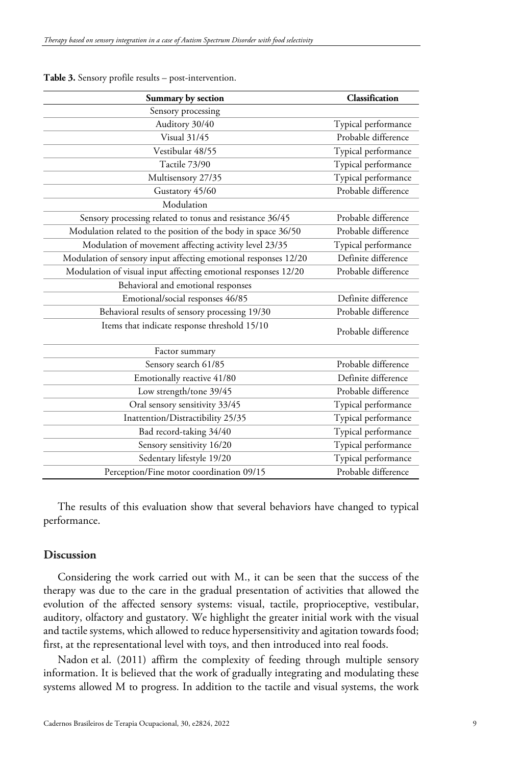| Summary by section                                              | Classification      |
|-----------------------------------------------------------------|---------------------|
| Sensory processing                                              |                     |
| Auditory 30/40                                                  | Typical performance |
| Visual 31/45                                                    | Probable difference |
| Vestibular 48/55                                                | Typical performance |
| Tactile 73/90                                                   | Typical performance |
| Multisensory 27/35                                              | Typical performance |
| Gustatory 45/60                                                 | Probable difference |
| Modulation                                                      |                     |
| Sensory processing related to tonus and resistance 36/45        | Probable difference |
| Modulation related to the position of the body in space 36/50   | Probable difference |
| Modulation of movement affecting activity level 23/35           | Typical performance |
| Modulation of sensory input affecting emotional responses 12/20 | Definite difference |
| Modulation of visual input affecting emotional responses 12/20  | Probable difference |
| Behavioral and emotional responses                              |                     |
| Emotional/social responses 46/85                                | Definite difference |
| Behavioral results of sensory processing 19/30                  | Probable difference |
| Items that indicate response threshold 15/10                    | Probable difference |
| Factor summary                                                  |                     |
| Sensory search 61/85                                            | Probable difference |
| Emotionally reactive 41/80                                      | Definite difference |
| Low strength/tone 39/45                                         | Probable difference |
| Oral sensory sensitivity 33/45                                  | Typical performance |
| Inattention/Distractibility 25/35                               | Typical performance |
| Bad record-taking 34/40                                         | Typical performance |
| Sensory sensitivity 16/20                                       | Typical performance |
| Sedentary lifestyle 19/20                                       | Typical performance |
| Perception/Fine motor coordination 09/15                        | Probable difference |

**Table 3.** Sensory profile results – post-intervention.

The results of this evaluation show that several behaviors have changed to typical performance.

# **Discussion**

Considering the work carried out with M., it can be seen that the success of the therapy was due to the care in the gradual presentation of activities that allowed the evolution of the affected sensory systems: visual, tactile, proprioceptive, vestibular, auditory, olfactory and gustatory. We highlight the greater initial work with the visual and tactile systems, which allowed to reduce hypersensitivity and agitation towards food; first, at the representational level with toys, and then introduced into real foods.

Nadon et al. (2011) affirm the complexity of feeding through multiple sensory information. It is believed that the work of gradually integrating and modulating these systems allowed M to progress. In addition to the tactile and visual systems, the work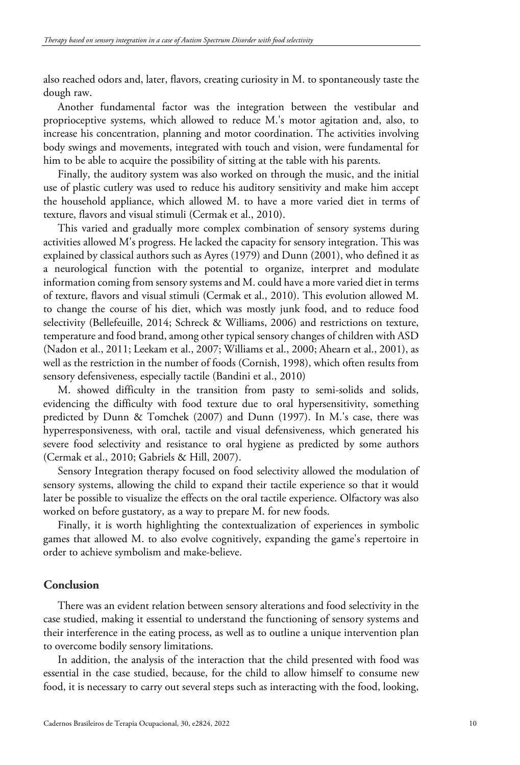also reached odors and, later, flavors, creating curiosity in M. to spontaneously taste the dough raw.

Another fundamental factor was the integration between the vestibular and proprioceptive systems, which allowed to reduce M.'s motor agitation and, also, to increase his concentration, planning and motor coordination. The activities involving body swings and movements, integrated with touch and vision, were fundamental for him to be able to acquire the possibility of sitting at the table with his parents.

Finally, the auditory system was also worked on through the music, and the initial use of plastic cutlery was used to reduce his auditory sensitivity and make him accept the household appliance, which allowed M. to have a more varied diet in terms of texture, flavors and visual stimuli (Cermak et al., 2010).

This varied and gradually more complex combination of sensory systems during activities allowed M's progress. He lacked the capacity for sensory integration. This was explained by classical authors such as Ayres (1979) and Dunn (2001), who defined it as a neurological function with the potential to organize, interpret and modulate information coming from sensory systems and M. could have a more varied diet in terms of texture, flavors and visual stimuli (Cermak et al., 2010). This evolution allowed M. to change the course of his diet, which was mostly junk food, and to reduce food selectivity (Bellefeuille, 2014; Schreck & Williams, 2006) and restrictions on texture, temperature and food brand, among other typical sensory changes of children with ASD (Nadon et al., 2011; Leekam et al., 2007; Williams et al., 2000; Ahearn et al., 2001), as well as the restriction in the number of foods (Cornish, 1998), which often results from sensory defensiveness, especially tactile (Bandini et al., 2010)

M. showed difficulty in the transition from pasty to semi-solids and solids, evidencing the difficulty with food texture due to oral hypersensitivity, something predicted by Dunn & Tomchek (2007) and Dunn (1997). In M.'s case, there was hyperresponsiveness, with oral, tactile and visual defensiveness, which generated his severe food selectivity and resistance to oral hygiene as predicted by some authors (Cermak et al., 2010; Gabriels & Hill, 2007).

Sensory Integration therapy focused on food selectivity allowed the modulation of sensory systems, allowing the child to expand their tactile experience so that it would later be possible to visualize the effects on the oral tactile experience. Olfactory was also worked on before gustatory, as a way to prepare M. for new foods.

Finally, it is worth highlighting the contextualization of experiences in symbolic games that allowed M. to also evolve cognitively, expanding the game's repertoire in order to achieve symbolism and make-believe.

# **Conclusion**

There was an evident relation between sensory alterations and food selectivity in the case studied, making it essential to understand the functioning of sensory systems and their interference in the eating process, as well as to outline a unique intervention plan to overcome bodily sensory limitations.

In addition, the analysis of the interaction that the child presented with food was essential in the case studied, because, for the child to allow himself to consume new food, it is necessary to carry out several steps such as interacting with the food, looking,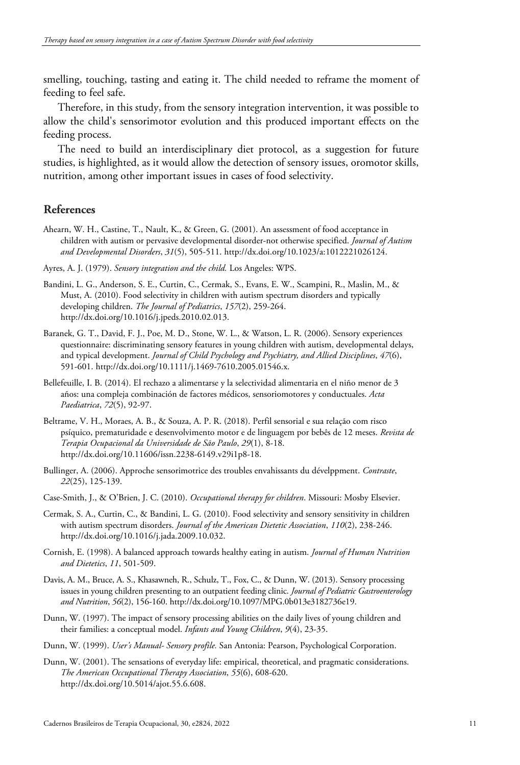smelling, touching, tasting and eating it. The child needed to reframe the moment of feeding to feel safe.

Therefore, in this study, from the sensory integration intervention, it was possible to allow the child's sensorimotor evolution and this produced important effects on the feeding process.

The need to build an interdisciplinary diet protocol, as a suggestion for future studies, is highlighted, as it would allow the detection of sensory issues, oromotor skills, nutrition, among other important issues in cases of food selectivity.

# **References**

- Ahearn, W. H., Castine, T., Nault, K., & Green, G. (2001). An assessment of food acceptance in children with autism or pervasive developmental disorder-not otherwise specified. *Journal of Autism and Developmental Disorders*, *31*(5), 505-511. http://dx.doi.org/10.1023/a:1012221026124.
- Ayres, A. J. (1979). *Sensory integration and the child.* Los Angeles: WPS.
- Bandini, L. G., Anderson, S. E., Curtin, C., Cermak, S., Evans, E. W., Scampini, R., Maslin, M., & Must, A. (2010). Food selectivity in children with autism spectrum disorders and typically developing children. *The Journal of Pediatrics*, *157*(2), 259-264. http://dx.doi.org/10.1016/j.jpeds.2010.02.013.
- Baranek, G. T., David, F. J., Poe, M. D., Stone, W. L., & Watson, L. R. (2006). Sensory experiences questionnaire: discriminating sensory features in young children with autism, developmental delays, and typical development. *Journal of Child Psychology and Psychiatry, and Allied Disciplines*, *47*(6), 591-601. http://dx.doi.org/10.1111/j.1469-7610.2005.01546.x.
- Bellefeuille, I. B. (2014). El rechazo a alimentarse y la selectividad alimentaria en el niño menor de 3 años: una compleja combinación de factores médicos, sensoriomotores y conductuales. *Acta Paediatrica*, *72*(5), 92-97.
- Beltrame, V. H., Moraes, A. B., & Souza, A. P. R. (2018). Perfil sensorial e sua relação com risco psíquico, prematuridade e desenvolvimento motor e de linguagem por bebês de 12 meses. *Revista de Terapia Ocupacional da Universidade de São Paulo*, *29*(1), 8-18. http://dx.doi.org/10.11606/issn.2238-6149.v29i1p8-18.
- Bullinger, A. (2006). Approche sensorimotrice des troubles envahissants du dévelppment. *Contraste*, *22*(25), 125-139.
- Case-Smith, J., & O'Brien, J. C. (2010). *Occupational therapy for children*. Missouri: Mosby Elsevier.
- Cermak, S. A., Curtin, C., & Bandini, L. G. (2010). Food selectivity and sensory sensitivity in children with autism spectrum disorders. *Journal of the American Dietetic Association*, *110*(2), 238-246. http://dx.doi.org/10.1016/j.jada.2009.10.032.
- Cornish, E. (1998). A balanced approach towards healthy eating in autism. *Journal of Human Nutrition and Dietetics*, *11*, 501-509.
- Davis, A. M., Bruce, A. S., Khasawneh, R., Schulz, T., Fox, C., & Dunn, W. (2013). Sensory processing issues in young children presenting to an outpatient feeding clinic. *Journal of Pediatric Gastroenterology and Nutrition*, *56*(2), 156-160. http://dx.doi.org/10.1097/MPG.0b013e3182736e19.
- Dunn, W. (1997). The impact of sensory processing abilities on the daily lives of young children and their families: a conceptual model. *Infants and Young Children*, *9*(4), 23-35.
- Dunn, W. (1999). *User's Manual- Sensory profile.* San Antonia: Pearson, Psychological Corporation.
- Dunn, W. (2001). The sensations of everyday life: empirical, theoretical, and pragmatic considerations. *The American Occupational Therapy Association*, *55*(6), 608-620. http://dx.doi.org/10.5014/ajot.55.6.608.